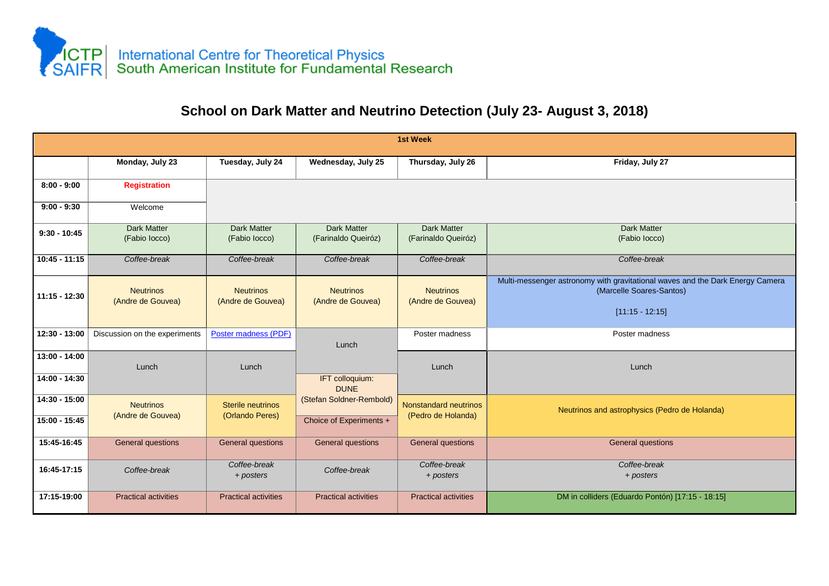

## **School on Dark Matter and Neutrino Detection (July 23- August 3, 2018)**

| 1st Week                         |                                       |                                             |                                                     |                                             |                                                                                                                                |  |  |  |  |
|----------------------------------|---------------------------------------|---------------------------------------------|-----------------------------------------------------|---------------------------------------------|--------------------------------------------------------------------------------------------------------------------------------|--|--|--|--|
|                                  | Monday, July 23                       | Tuesday, July 24                            | Wednesday, July 25                                  | Thursday, July 26                           | Friday, July 27                                                                                                                |  |  |  |  |
| $8:00 - 9:00$                    | <b>Registration</b>                   |                                             |                                                     |                                             |                                                                                                                                |  |  |  |  |
| $9:00 - 9:30$                    | Welcome                               |                                             |                                                     |                                             |                                                                                                                                |  |  |  |  |
| $9:30 - 10:45$                   | <b>Dark Matter</b><br>(Fabio locco)   | <b>Dark Matter</b><br>(Fabio locco)         | <b>Dark Matter</b><br>(Farinaldo Queiróz)           | <b>Dark Matter</b><br>(Farinaldo Queiróz)   | <b>Dark Matter</b><br>(Fabio locco)                                                                                            |  |  |  |  |
| $10:45 - 11:15$                  | Coffee-break                          | Coffee-break                                | Coffee-break                                        | Coffee-break                                | Coffee-break                                                                                                                   |  |  |  |  |
| $11:15 - 12:30$                  | <b>Neutrinos</b><br>(Andre de Gouvea) | <b>Neutrinos</b><br>(Andre de Gouvea)       | <b>Neutrinos</b><br>(Andre de Gouvea)               | <b>Neutrinos</b><br>(Andre de Gouvea)       | Multi-messenger astronomy with gravitational waves and the Dark Energy Camera<br>(Marcelle Soares-Santos)<br>$[11:15 - 12:15]$ |  |  |  |  |
| 12:30 - 13:00                    | Discussion on the experiments         | Poster madness (PDF)                        | Lunch                                               | Poster madness                              | Poster madness                                                                                                                 |  |  |  |  |
| $13:00 - 14:00$<br>14:00 - 14:30 | Lunch                                 | Lunch                                       | IFT colloquium:<br><b>DUNE</b>                      | Lunch                                       | Lunch                                                                                                                          |  |  |  |  |
| 14:30 - 15:00<br>$15:00 - 15:45$ | <b>Neutrinos</b><br>(Andre de Gouvea) | <b>Sterile neutrinos</b><br>(Orlando Peres) | (Stefan Soldner-Rembold)<br>Choice of Experiments + | Nonstandard neutrinos<br>(Pedro de Holanda) | Neutrinos and astrophysics (Pedro de Holanda)                                                                                  |  |  |  |  |
| 15:45-16:45                      | <b>General questions</b>              | <b>General questions</b>                    | <b>General questions</b>                            | <b>General questions</b>                    | General questions                                                                                                              |  |  |  |  |
| 16:45-17:15                      | Coffee-break                          | Coffee-break<br>+ posters                   | Coffee-break                                        | Coffee-break<br>+ posters                   | Coffee-break<br>+ posters                                                                                                      |  |  |  |  |
| 17:15-19:00                      | <b>Practical activities</b>           | <b>Practical activities</b>                 | <b>Practical activities</b>                         | <b>Practical activities</b>                 | DM in colliders (Eduardo Pontón) [17:15 - 18:15]                                                                               |  |  |  |  |